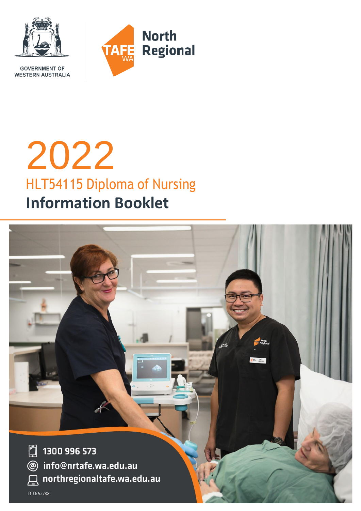

**GOVERNMENT OF WESTERN AUSTRALIA** 

# 2022 HLT54115 Diploma of Nursing **Information Booklet**

 $\Box$ 1300 996 573 info@nrtafe.wa.edu.au  $\circledcirc$ northregionaltafe.wa.edu.au RTO: 52788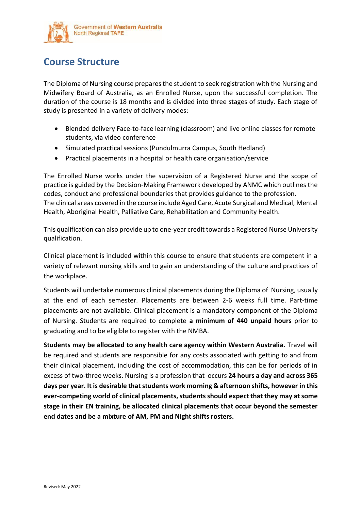

# **Course Structure**

The Diploma of Nursing course prepares the student to seek registration with the Nursing and Midwifery Board of Australia, as an Enrolled Nurse, upon the successful completion. The duration of the course is 18 months and is divided into three stages of study. Each stage of study is presented in a variety of delivery modes:

- Blended delivery Face-to-face learning (classroom) and live online classes for remote students, via video conference
- Simulated practical sessions (Pundulmurra Campus, South Hedland)
- Practical placements in a hospital or health care organisation/service

The Enrolled Nurse works under the supervision of a Registered Nurse and the scope of practice is guided by the Decision-Making Framework developed by ANMC which outlines the codes, conduct and professional boundaries that provides guidance to the profession. The clinical areas covered in the course include Aged Care, Acute Surgical and Medical, Mental Health, Aboriginal Health, Palliative Care, Rehabilitation and Community Health.

This qualification can also provide up to one-year credit towards a Registered Nurse University qualification.

Clinical placement is included within this course to ensure that students are competent in a variety of relevant nursing skills and to gain an understanding of the culture and practices of the workplace.

Students will undertake numerous clinical placements during the Diploma of Nursing, usually at the end of each semester. Placements are between 2-6 weeks full time. Part-time placements are not available. Clinical placement is a mandatory component of the Diploma of Nursing. Students are required to complete **a minimum of 440 unpaid hours** prior to graduating and to be eligible to register with the NMBA.

**Students may be allocated to any health care agency within Western Australia.** Travel will be required and students are responsible for any costs associated with getting to and from their clinical placement, including the cost of accommodation, this can be for periods of in excess of two-three weeks. Nursing is a profession that occurs **24 hours a day and across 365 days per year. It is desirable that students work morning & afternoon shifts, however in this ever-competing world of clinical placements, students should expect that they may at some stage in their EN training, be allocated clinical placements that occur beyond the semester end dates and be a mixture of AM, PM and Night shifts rosters.**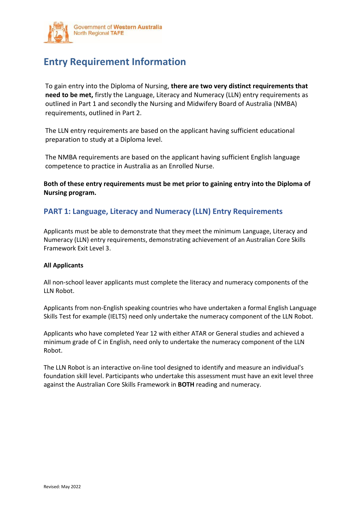

# **Entry Requirement Information**

To gain entry into the Diploma of Nursing, **there are two very distinct requirements that need to be met,** firstly the Language, Literacy and Numeracy (LLN) entry requirements as outlined in Part 1 and secondly the Nursing and Midwifery Board of Australia (NMBA) requirements, outlined in Part 2.

The LLN entry requirements are based on the applicant having sufficient educational preparation to study at a Diploma level.

The NMBA requirements are based on the applicant having sufficient English language competence to practice in Australia as an Enrolled Nurse.

**Both of these entry requirements must be met prior to gaining entry into the Diploma of Nursing program.**

## **PART 1: Language, Literacy and Numeracy (LLN) Entry Requirements**

Applicants must be able to demonstrate that they meet the minimum Language, Literacy and Numeracy (LLN) entry requirements, demonstrating achievement of an Australian Core Skills Framework Exit Level 3.

#### **All Applicants**

All non-school leaver applicants must complete the literacy and numeracy components of the LLN Robot.

Applicants from non-English speaking countries who have undertaken a formal English Language Skills Test for example (IELTS) need only undertake the numeracy component of the LLN Robot.

Applicants who have completed Year 12 with either ATAR or General studies and achieved a minimum grade of C in English, need only to undertake the numeracy component of the LLN Robot.

The LLN Robot is an interactive on-line tool designed to identify and measure an individual's foundation skill level. Participants who undertake this assessment must have an exit level three against the Australian Core Skills Framework in **BOTH** reading and numeracy.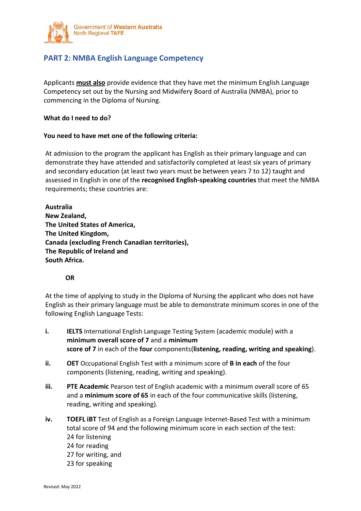

## **PART 2: NMBA English Language Competency**

Applicants **must also** provide evidence that they have met the minimum English Language Competency set out by the Nursing and Midwifery Board of Australia (NMBA), prior to commencing in the Diploma of Nursing.

### **What do I need to do?**

### **You need to have met one of the following criteria:**

At admission to the program the applicant has English as their primary language and can demonstrate they have attended and satisfactorily completed at least six years of primary and secondary education (at least two years must be between years 7 to 12) taught and assessed in English in one of the **recognised English-speaking countries** that meet the NMBA requirements; these countries are:

**Australia New Zealand, The United States of America, The United Kingdom, Canada (excluding French Canadian territories), The Republic of Ireland and South Africa.**

## **OR**

At the time of applying to study in the Diploma of Nursing the applicant who does not have English as their primary language must be able to demonstrate minimum scores in one of the following English Language Tests:

- **i. IELTS** International English Language Testing System (academic module) with a **minimum overall score of 7** and a **minimum score of 7** in each of the **four** components(**listening, reading, writing and speaking**).
- **ii. OET** Occupational English Test with a minimum score of **B in each** of the four components (listening, reading, writing and speaking).
- **iii. PTE Academic** Pearson test of English academic with a minimum overall score of 65 and a **minimum score of 65** in each of the four communicative skills (listening, reading, writing and speaking).
- **iv. TOEFL iBT** Test of English as a Foreign Language Internet-Based Test with a minimum total score of 94 and the following minimum score in each section of the test: 24 for listening 24 for reading 27 for writing, and 23 for speaking